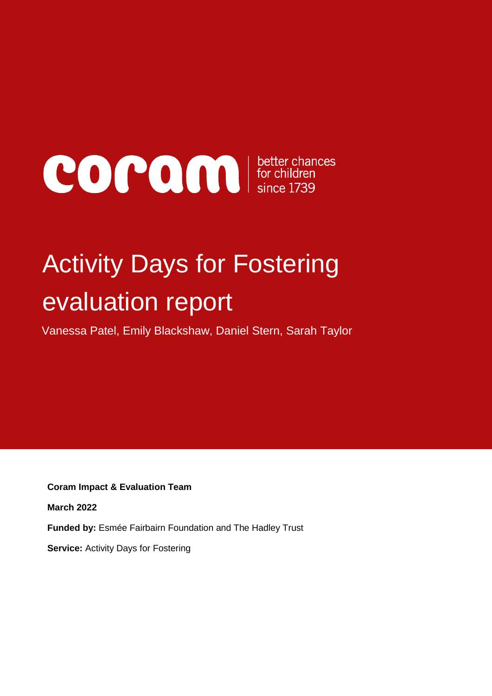# COCOO DE Since 1739

## Activity Days for Fostering evaluation report

Vanessa Patel, Emily Blackshaw, Daniel Stern, Sarah Taylor

**Coram Impact & Evaluation Team**

**March 2022**

**Funded by:** Esmée Fairbairn Foundation and The Hadley Trust

**Service:** Activity Days for Fostering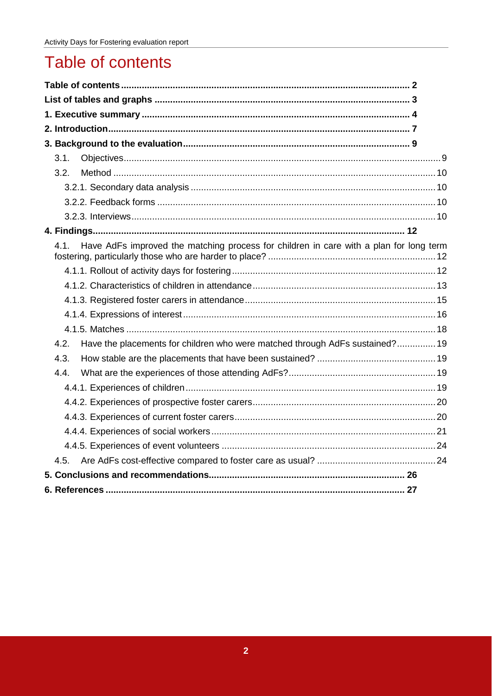## <span id="page-1-0"></span>Table of contents

| 3.1.                                                                                           |  |
|------------------------------------------------------------------------------------------------|--|
| 3.2 <sub>1</sub>                                                                               |  |
|                                                                                                |  |
|                                                                                                |  |
|                                                                                                |  |
|                                                                                                |  |
| Have AdFs improved the matching process for children in care with a plan for long term<br>4.1. |  |
|                                                                                                |  |
|                                                                                                |  |
|                                                                                                |  |
|                                                                                                |  |
|                                                                                                |  |
| Have the placements for children who were matched through AdFs sustained? 19<br>4.2.           |  |
| 4.3.                                                                                           |  |
| 4.4.                                                                                           |  |
|                                                                                                |  |
|                                                                                                |  |
|                                                                                                |  |
|                                                                                                |  |
|                                                                                                |  |
| 4.5.                                                                                           |  |
|                                                                                                |  |
|                                                                                                |  |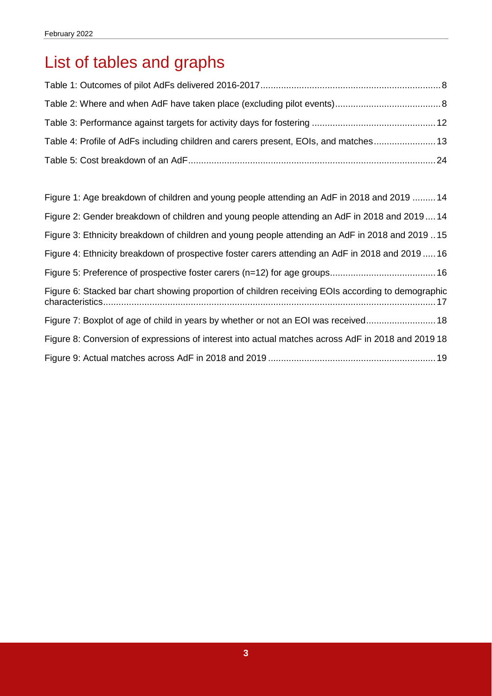## <span id="page-2-0"></span>List of tables and graphs

| Table 4: Profile of AdFs including children and carers present, EOIs, and matches 13 |  |
|--------------------------------------------------------------------------------------|--|
|                                                                                      |  |

| Figure 1: Age breakdown of children and young people attending an AdF in 2018 and 2019  14         |
|----------------------------------------------------------------------------------------------------|
| Figure 2: Gender breakdown of children and young people attending an AdF in 2018 and 201914        |
| Figure 3: Ethnicity breakdown of children and young people attending an AdF in 2018 and 2019 15    |
| Figure 4: Ethnicity breakdown of prospective foster carers attending an AdF in 2018 and 201916     |
|                                                                                                    |
| Figure 6: Stacked bar chart showing proportion of children receiving EOIs according to demographic |
| Figure 7: Boxplot of age of child in years by whether or not an EOI was received18                 |
| Figure 8: Conversion of expressions of interest into actual matches across AdF in 2018 and 2019 18 |
|                                                                                                    |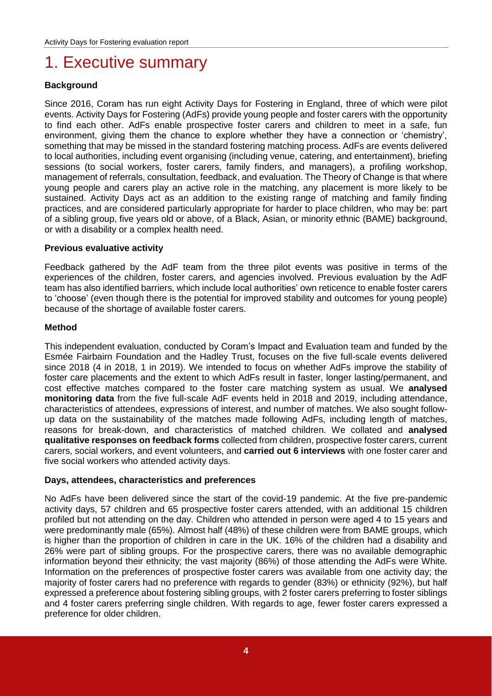### <span id="page-3-0"></span>1. Executive summary

#### **Background**

Since 2016, Coram has run eight Activity Days for Fostering in England, three of which were pilot events. Activity Days for Fostering (AdFs) provide young people and foster carers with the opportunity to find each other. AdFs enable prospective foster carers and children to meet in a safe, fun environment, giving them the chance to explore whether they have a connection or 'chemistry', something that may be missed in the standard fostering matching process. AdFs are events delivered to local authorities, including event organising (including venue, catering, and entertainment), briefing sessions (to social workers, foster carers, family finders, and managers), a profiling workshop, management of referrals, consultation, feedback, and evaluation. The Theory of Change is that where young people and carers play an active role in the matching, any placement is more likely to be sustained. Activity Days act as an addition to the existing range of matching and family finding practices, and are considered particularly appropriate for harder to place children, who may be: part of a sibling group, five years old or above, of a Black, Asian, or minority ethnic (BAME) background, or with a disability or a complex health need.

#### **Previous evaluative activity**

Feedback gathered by the AdF team from the three pilot events was positive in terms of the experiences of the children, foster carers, and agencies involved. Previous evaluation by the AdF team has also identified barriers, which include local authorities' own reticence to enable foster carers to 'choose' (even though there is the potential for improved stability and outcomes for young people) because of the shortage of available foster carers.

#### **Method**

This independent evaluation, conducted by Coram's Impact and Evaluation team and funded by the Esmée Fairbairn Foundation and the Hadley Trust, focuses on the five full-scale events delivered since 2018 (4 in 2018, 1 in 2019). We intended to focus on whether AdFs improve the stability of foster care placements and the extent to which AdFs result in faster, longer lasting/permanent, and cost effective matches compared to the foster care matching system as usual. We **analysed monitoring data** from the five full-scale AdF events held in 2018 and 2019, including attendance, characteristics of attendees, expressions of interest, and number of matches. We also sought followup data on the sustainability of the matches made following AdFs, including length of matches, reasons for break-down, and characteristics of matched children. We collated and **analysed qualitative responses on feedback forms** collected from children, prospective foster carers, current carers, social workers, and event volunteers, and **carried out 6 interviews** with one foster carer and five social workers who attended activity days.

#### **Days, attendees, characteristics and preferences**

No AdFs have been delivered since the start of the covid-19 pandemic. At the five pre-pandemic activity days, 57 children and 65 prospective foster carers attended, with an additional 15 children profiled but not attending on the day. Children who attended in person were aged 4 to 15 years and were predominantly male (65%). Almost half (48%) of these children were from BAME groups, which is higher than the proportion of children in care in the UK. 16% of the children had a disability and 26% were part of sibling groups. For the prospective carers, there was no available demographic information beyond their ethnicity; the vast majority (86%) of those attending the AdFs were White. Information on the preferences of prospective foster carers was available from one activity day; the majority of foster carers had no preference with regards to gender (83%) or ethnicity (92%), but half expressed a preference about fostering sibling groups, with 2 foster carers preferring to foster siblings and 4 foster carers preferring single children. With regards to age, fewer foster carers expressed a preference for older children.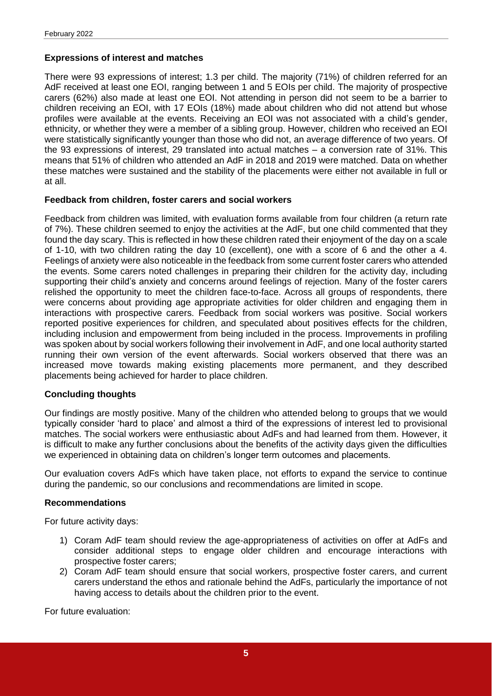#### **Expressions of interest and matches**

There were 93 expressions of interest; 1.3 per child. The majority (71%) of children referred for an AdF received at least one EOI, ranging between 1 and 5 EOIs per child. The majority of prospective carers (62%) also made at least one EOI. Not attending in person did not seem to be a barrier to children receiving an EOI, with 17 EOIs (18%) made about children who did not attend but whose profiles were available at the events. Receiving an EOI was not associated with a child's gender, ethnicity, or whether they were a member of a sibling group. However, children who received an EOI were statistically significantly younger than those who did not, an average difference of two years. Of the 93 expressions of interest, 29 translated into actual matches – a conversion rate of 31%. This means that 51% of children who attended an AdF in 2018 and 2019 were matched. Data on whether these matches were sustained and the stability of the placements were either not available in full or at all.

#### **Feedback from children, foster carers and social workers**

Feedback from children was limited, with evaluation forms available from four children (a return rate of 7%). These children seemed to enjoy the activities at the AdF, but one child commented that they found the day scary. This is reflected in how these children rated their enjoyment of the day on a scale of 1-10, with two children rating the day 10 (excellent), one with a score of 6 and the other a 4. Feelings of anxiety were also noticeable in the feedback from some current foster carers who attended the events. Some carers noted challenges in preparing their children for the activity day, including supporting their child's anxiety and concerns around feelings of rejection. Many of the foster carers relished the opportunity to meet the children face-to-face. Across all groups of respondents, there were concerns about providing age appropriate activities for older children and engaging them in interactions with prospective carers. Feedback from social workers was positive. Social workers reported positive experiences for children, and speculated about positives effects for the children, including inclusion and empowerment from being included in the process. Improvements in profiling was spoken about by social workers following their involvement in AdF, and one local authority started running their own version of the event afterwards. Social workers observed that there was an increased move towards making existing placements more permanent, and they described placements being achieved for harder to place children.

#### **Concluding thoughts**

Our findings are mostly positive. Many of the children who attended belong to groups that we would typically consider 'hard to place' and almost a third of the expressions of interest led to provisional matches. The social workers were enthusiastic about AdFs and had learned from them. However, it is difficult to make any further conclusions about the benefits of the activity days given the difficulties we experienced in obtaining data on children's longer term outcomes and placements.

Our evaluation covers AdFs which have taken place, not efforts to expand the service to continue during the pandemic, so our conclusions and recommendations are limited in scope.

#### **Recommendations**

For future activity days:

- 1) Coram AdF team should review the age-appropriateness of activities on offer at AdFs and consider additional steps to engage older children and encourage interactions with prospective foster carers;
- 2) Coram AdF team should ensure that social workers, prospective foster carers, and current carers understand the ethos and rationale behind the AdFs, particularly the importance of not having access to details about the children prior to the event.

For future evaluation: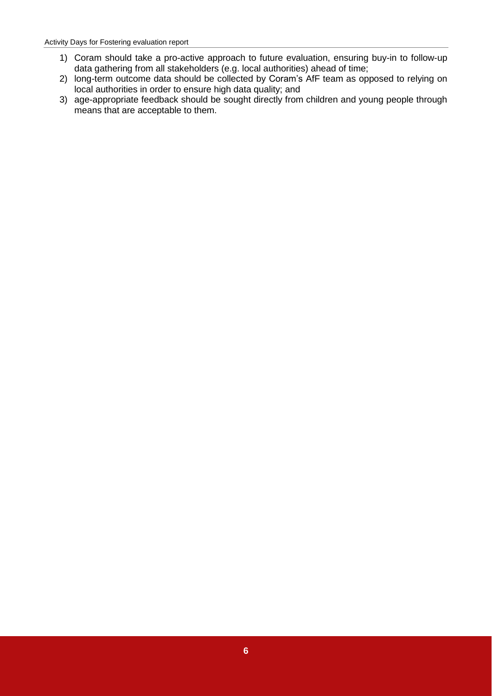- 1) Coram should take a pro-active approach to future evaluation, ensuring buy-in to follow-up data gathering from all stakeholders (e.g. local authorities) ahead of time;
- 2) long-term outcome data should be collected by Coram's AfF team as opposed to relying on local authorities in order to ensure high data quality; and
- 3) age-appropriate feedback should be sought directly from children and young people through means that are acceptable to them.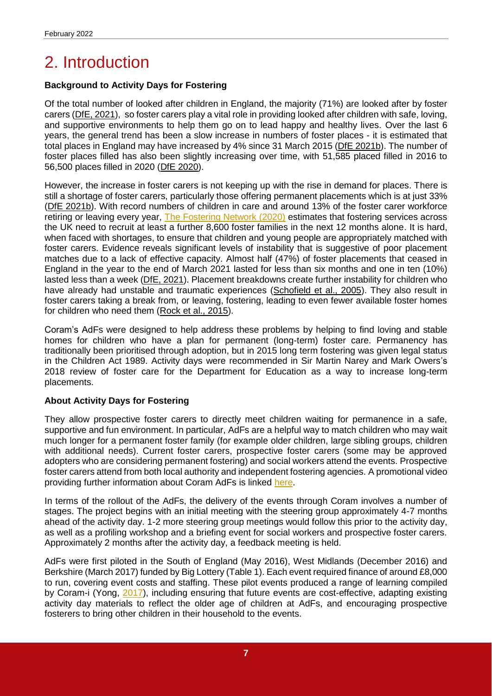## <span id="page-6-0"></span>2. Introduction

#### **Background to Activity Days for Fostering**

Of the total number of looked after children in England, the majority (71%) are looked after by foster carers [\(DfE, 2021\)](https://explore-education-statistics.service.gov.uk/find-statistics/children-looked-after-in-england-including-adoptions), so foster carers play a vital role in providing looked after children with safe, loving, and supportive environments to help them go on to lead happy and healthy lives. Over the last 6 years, the general trend has been a slow increase in numbers of foster places - it is estimated that total places in England may have increased by 4% since 31 March 2015 [\(DfE 2021b\)](https://www.gov.uk/government/statistics/fostering-in-england-1-april-2020-to-31-march-2021/fostering-in-england-2020-to-2021-main-findings). The number of foster places filled has also been slightly increasing over time, with 51,585 placed filled in 2016 to 56,500 places filled in 2020 [\(DfE 2020\)](https://www.gov.uk/government/statistics/fostering-in-england-1-april-2019-to-31-march-2020/fostering-in-england-2019-to-2020-main-findings#fostering-capacity).

However, the increase in foster carers is not keeping up with the rise in demand for places. There is still a shortage of foster carers, particularly those offering permanent placements which is at just 33% [\(DfE 2021](https://www.gov.uk/government/statistics/fostering-in-england-1-april-2020-to-31-march-2021/fostering-in-england-2020-to-2021-main-findings)b). With record numbers of children in care and around 13% of the foster carer workforce retiring or leaving every year, [The Fostering Network \(2020\)](https://www.thefosteringnetwork.org.uk/advice-information/all-about-fostering/recruitment-targets) estimates that fostering services across the UK need to recruit at least a further 8,600 foster families in the next 12 months alone. It is hard, when faced with shortages, to ensure that children and young people are appropriately matched with foster carers. Evidence reveals significant levels of instability that is suggestive of poor placement matches due to a lack of effective capacity. Almost half (47%) of foster placements that ceased in England in the year to the end of March 2021 lasted for less than six months and one in ten (10%) lasted less than a week [\(DfE, 2021\)](https://explore-education-statistics.service.gov.uk/find-statistics/children-looked-after-in-england-including-adoptions). Placement breakdowns create further instability for children who have already had unstable and traumatic experiences [\(Schofield et al., 2005\)](https://academic.oup.com/bjsw/article/35/8/1283/1659015?login=true). They also result in foster carers taking a break from, or leaving, fostering, leading to even fewer available foster homes for children who need them [\(Rock et al., 2015\)](https://academic.oup.com/bjsw/article/45/1/177/1735380#29037437).

Coram's AdFs were designed to help address these problems by helping to find loving and stable homes for children who have a plan for permanent (long-term) foster care. Permanency has traditionally been prioritised through adoption, but in 2015 long term fostering was given legal status in the Children Act 1989. Activity days were recommended in Sir Martin Narey and Mark Owers's 2018 review of foster care for the Department for Education as a way to increase long-term placements.

#### **About Activity Days for Fostering**

They allow prospective foster carers to directly meet children waiting for permanence in a safe, supportive and fun environment. In particular, AdFs are a helpful way to match children who may wait much longer for a permanent foster family (for example older children, large sibling groups, children with additional needs). Current foster carers, prospective foster carers (some may be approved adopters who are considering permanent fostering) and social workers attend the events. Prospective foster carers attend from both local authority and independent fostering agencies. A promotional video providing further information about Coram AdFs is linked [here.](https://drive.google.com/file/d/1PBbek11YFIWfrbS4z--nCkZ8J0tX_tCd/view)

In terms of the rollout of the AdFs, the delivery of the events through Coram involves a number of stages. The project begins with an initial meeting with the steering group approximately 4-7 months ahead of the activity day. 1-2 more steering group meetings would follow this prior to the activity day, as well as a profiling workshop and a briefing event for social workers and prospective foster carers. Approximately 2 months after the activity day, a feedback meeting is held.

AdFs were first piloted in the South of England (May 2016), West Midlands (December 2016) and Berkshire (March 2017) funded by Big Lottery (Table 1). Each event required finance of around £8,000 to run, covering event costs and staffing. These pilot events produced a range of learning compiled by Coram-i (Yong, [2017\)](https://coram-i.org.uk/resource/fostering-activity-day-briefing-session-flyer/download_attachment/1374), including ensuring that future events are cost-effective, adapting existing activity day materials to reflect the older age of children at AdFs, and encouraging prospective fosterers to bring other children in their household to the events.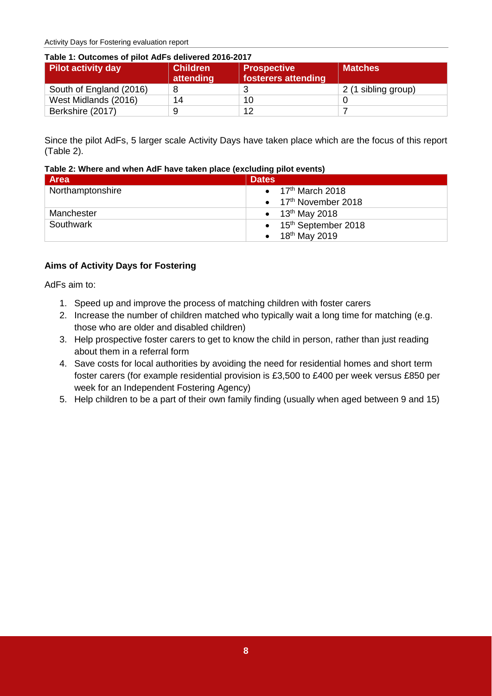Activity Days for Fostering evaluation report

<span id="page-7-0"></span>

| <b>Pilot activity day</b> | <b>Children</b><br>attending | <b>Prospective</b><br>fosterers attending | <b>Matches</b>      |
|---------------------------|------------------------------|-------------------------------------------|---------------------|
| South of England (2016)   | 8                            |                                           | 2 (1 sibling group) |
| West Midlands (2016)      | 14                           | 10                                        |                     |
| Berkshire (2017)          | 9                            | 12                                        |                     |

Since the pilot AdFs, 5 larger scale Activity Days have taken place which are the focus of this report (Table 2).

<span id="page-7-1"></span>

| Table 2: Where and when AdF have taken place (excluding pilot events) |  |
|-----------------------------------------------------------------------|--|
|-----------------------------------------------------------------------|--|

| Area             | <b>Dates</b>                              |
|------------------|-------------------------------------------|
| Northamptonshire | $\bullet$ 17 <sup>th</sup> March 2018     |
|                  | $\bullet$ 17 <sup>th</sup> November 2018  |
| Manchester       | • $13^{th}$ May 2018                      |
| Southwark        | $\bullet$ 15 <sup>th</sup> September 2018 |
|                  | • $18^{th}$ May 2019                      |

#### **Aims of Activity Days for Fostering**

AdFs aim to:

- 1. Speed up and improve the process of matching children with foster carers
- 2. Increase the number of children matched who typically wait a long time for matching (e.g. those who are older and disabled children)
- 3. Help prospective foster carers to get to know the child in person, rather than just reading about them in a referral form
- 4. Save costs for local authorities by avoiding the need for residential homes and short term foster carers (for example residential provision is £3,500 to £400 per week versus £850 per week for an Independent Fostering Agency)
- 5. Help children to be a part of their own family finding (usually when aged between 9 and 15)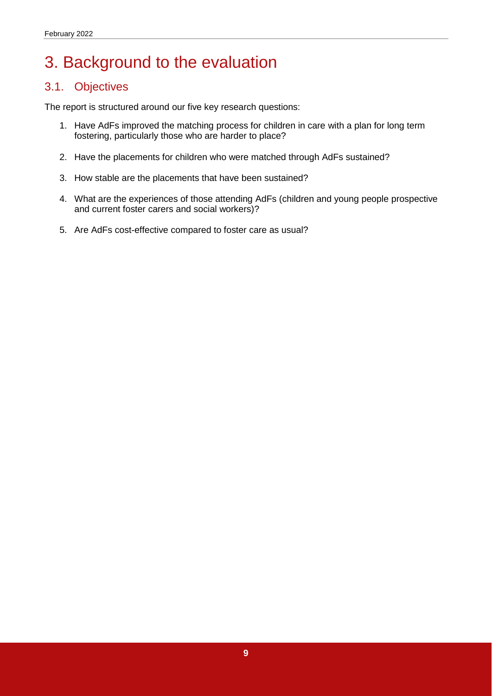## <span id="page-8-0"></span>3. Background to the evaluation

#### <span id="page-8-1"></span>3.1. Objectives

The report is structured around our five key research questions:

- 1. Have AdFs improved the matching process for children in care with a plan for long term fostering, particularly those who are harder to place?
- 2. Have the placements for children who were matched through AdFs sustained?
- 3. How stable are the placements that have been sustained?
- 4. What are the experiences of those attending AdFs (children and young people prospective and current foster carers and social workers)?
- 5. Are AdFs cost-effective compared to foster care as usual?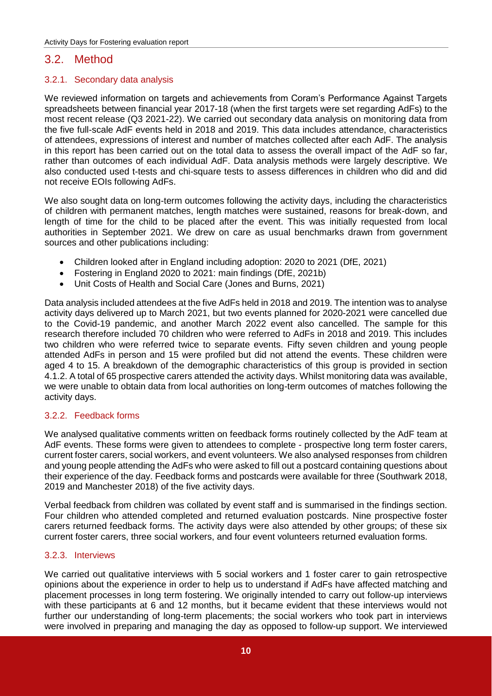#### <span id="page-9-0"></span>3.2. Method

#### <span id="page-9-1"></span>3.2.1. Secondary data analysis

We reviewed information on targets and achievements from Coram's Performance Against Targets spreadsheets between financial year 2017-18 (when the first targets were set regarding AdFs) to the most recent release (Q3 2021-22). We carried out secondary data analysis on monitoring data from the five full-scale AdF events held in 2018 and 2019. This data includes attendance, characteristics of attendees, expressions of interest and number of matches collected after each AdF. The analysis in this report has been carried out on the total data to assess the overall impact of the AdF so far, rather than outcomes of each individual AdF. Data analysis methods were largely descriptive. We also conducted used t-tests and chi-square tests to assess differences in children who did and did not receive EOIs following AdFs.

We also sought data on long-term outcomes following the activity days, including the characteristics of children with permanent matches, length matches were sustained, reasons for break-down, and length of time for the child to be placed after the event. This was initially requested from local authorities in September 2021. We drew on care as usual benchmarks drawn from government sources and other publications including:

- Children looked after in England including adoption: 2020 to 2021 (DfE, 2021)
- Fostering in England 2020 to 2021: main findings (DfE, 2021b)
- Unit Costs of Health and Social Care (Jones and Burns, 2021)

Data analysis included attendees at the five AdFs held in 2018 and 2019. The intention was to analyse activity days delivered up to March 2021, but two events planned for 2020-2021 were cancelled due to the Covid-19 pandemic, and another March 2022 event also cancelled. The sample for this research therefore included 70 children who were referred to AdFs in 2018 and 2019. This includes two children who were referred twice to separate events. Fifty seven children and young people attended AdFs in person and 15 were profiled but did not attend the events. These children were aged 4 to 15. A breakdown of the demographic characteristics of this group is provided in section 4.1.2. A total of 65 prospective carers attended the activity days. Whilst monitoring data was available, we were unable to obtain data from local authorities on long-term outcomes of matches following the activity days.

#### <span id="page-9-2"></span>3.2.2. Feedback forms

We analysed qualitative comments written on feedback forms routinely collected by the AdF team at AdF events. These forms were given to attendees to complete - prospective long term foster carers, current foster carers, social workers, and event volunteers. We also analysed responses from children and young people attending the AdFs who were asked to fill out a postcard containing questions about their experience of the day. Feedback forms and postcards were available for three (Southwark 2018, 2019 and Manchester 2018) of the five activity days.

Verbal feedback from children was collated by event staff and is summarised in the findings section. Four children who attended completed and returned evaluation postcards. Nine prospective foster carers returned feedback forms. The activity days were also attended by other groups; of these six current foster carers, three social workers, and four event volunteers returned evaluation forms.

#### <span id="page-9-3"></span>3.2.3. Interviews

We carried out qualitative interviews with 5 social workers and 1 foster carer to gain retrospective opinions about the experience in order to help us to understand if AdFs have affected matching and placement processes in long term fostering. We originally intended to carry out follow-up interviews with these participants at 6 and 12 months, but it became evident that these interviews would not further our understanding of long-term placements; the social workers who took part in interviews were involved in preparing and managing the day as opposed to follow-up support. We interviewed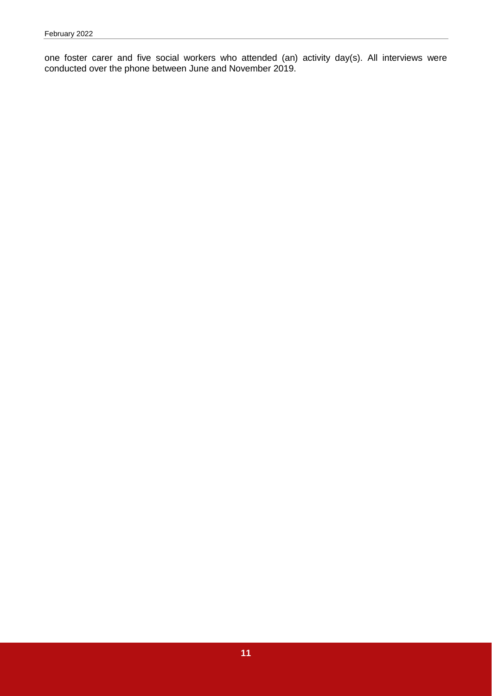one foster carer and five social workers who attended (an) activity day(s). All interviews were conducted over the phone between June and November 2019.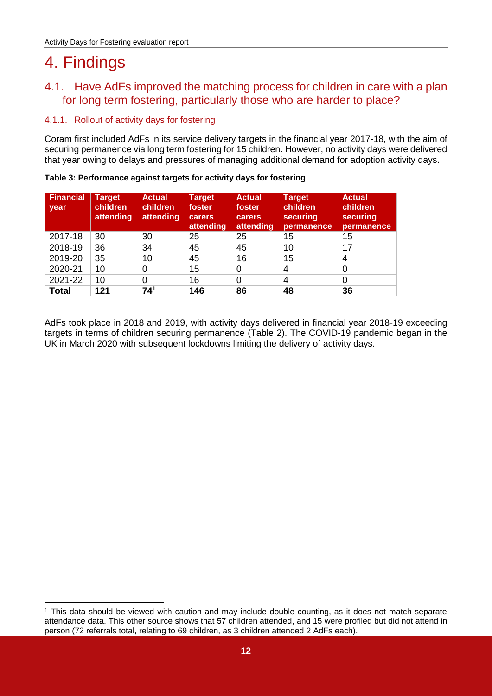## <span id="page-11-0"></span>4. Findings

-

#### <span id="page-11-1"></span>4.1. Have AdFs improved the matching process for children in care with a plan for long term fostering, particularly those who are harder to place?

#### <span id="page-11-2"></span>4.1.1. Rollout of activity days for fostering

Coram first included AdFs in its service delivery targets in the financial year 2017-18, with the aim of securing permanence via long term fostering for 15 children. However, no activity days were delivered that year owing to delays and pressures of managing additional demand for adoption activity days.

| <b>Financial</b><br>year | <b>Target</b><br>children<br>attending | <b>Actual</b><br><b>children</b><br>attending | <b>Target</b><br>foster<br>carers<br>attending | <b>Actual</b><br>foster<br><b>carers</b><br>attending | <b>Target</b><br>children<br>securing<br>permanence | <b>Actual</b><br>children<br>securing<br>permanence |
|--------------------------|----------------------------------------|-----------------------------------------------|------------------------------------------------|-------------------------------------------------------|-----------------------------------------------------|-----------------------------------------------------|
| 2017-18                  | 30                                     | 30                                            | 25                                             | 25                                                    | 15                                                  | 15                                                  |
| 2018-19                  | 36                                     | 34                                            | 45                                             | 45                                                    | 10                                                  | 17                                                  |
| 2019-20                  | 35                                     | 10                                            | 45                                             | 16                                                    | 15                                                  | 4                                                   |
| 2020-21                  | 10                                     | 0                                             | 15                                             | 0                                                     | 4                                                   | 0                                                   |
| 2021-22                  | 10                                     | 0                                             | 16                                             | 0                                                     | 4                                                   | 0                                                   |
| <b>Total</b>             | 121                                    | 741                                           | 146                                            | 86                                                    | 48                                                  | 36                                                  |

<span id="page-11-3"></span>**Table 3: Performance against targets for activity days for fostering**

AdFs took place in 2018 and 2019, with activity days delivered in financial year 2018-19 exceeding targets in terms of children securing permanence (Table 2). The COVID-19 pandemic began in the UK in March 2020 with subsequent lockdowns limiting the delivery of activity days.

<sup>1</sup> This data should be viewed with caution and may include double counting, as it does not match separate attendance data. This other source shows that 57 children attended, and 15 were profiled but did not attend in person (72 referrals total, relating to 69 children, as 3 children attended 2 AdFs each).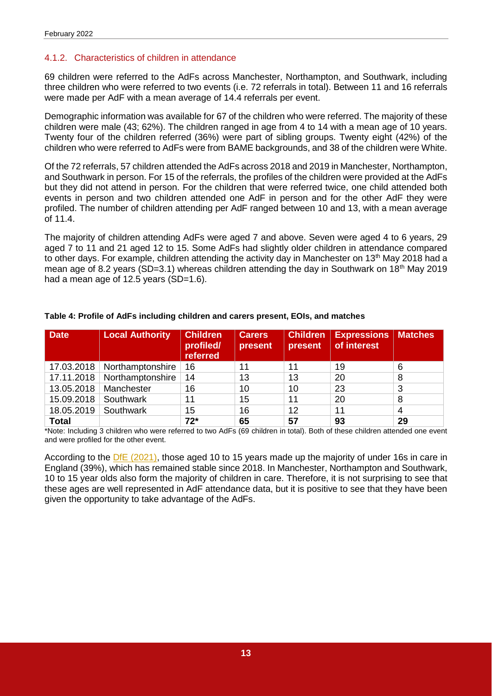#### <span id="page-12-0"></span>4.1.2. Characteristics of children in attendance

69 children were referred to the AdFs across Manchester, Northampton, and Southwark, including three children who were referred to two events (i.e. 72 referrals in total). Between 11 and 16 referrals were made per AdF with a mean average of 14.4 referrals per event.

Demographic information was available for 67 of the children who were referred. The majority of these children were male (43; 62%). The children ranged in age from 4 to 14 with a mean age of 10 years. Twenty four of the children referred (36%) were part of sibling groups. Twenty eight (42%) of the children who were referred to AdFs were from BAME backgrounds, and 38 of the children were White.

Of the 72 referrals, 57 children attended the AdFs across 2018 and 2019 in Manchester, Northampton, and Southwark in person. For 15 of the referrals, the profiles of the children were provided at the AdFs but they did not attend in person. For the children that were referred twice, one child attended both events in person and two children attended one AdF in person and for the other AdF they were profiled. The number of children attending per AdF ranged between 10 and 13, with a mean average of 11.4.

The majority of children attending AdFs were aged 7 and above. Seven were aged 4 to 6 years, 29 aged 7 to 11 and 21 aged 12 to 15. Some AdFs had slightly older children in attendance compared to other days. For example, children attending the activity day in Manchester on 13<sup>th</sup> May 2018 had a mean age of 8.2 years (SD=3.1) whereas children attending the day in Southwark on 18<sup>th</sup> May 2019 had a mean age of 12.5 years (SD=1.6).

| Date         | <b>Local Authority</b> | <b>Children</b><br>profiled/<br>referred | <b>Carers</b><br>present | <b>Children</b><br>present | <b>Expressions</b><br>of interest | <b>Matches</b> |
|--------------|------------------------|------------------------------------------|--------------------------|----------------------------|-----------------------------------|----------------|
| 17.03.2018   | Northamptonshire       | 16                                       | 11                       | 11                         | 19                                | 6              |
| 17.11.2018   | Northamptonshire       | 14                                       | 13                       | 13                         | 20                                | 8              |
| 13.05.2018   | Manchester             | 16                                       | 10                       | 10                         | 23                                | 3              |
| 15.09.2018   | Southwark              | 11                                       | 15                       | 11                         | 20                                | 8              |
| 18.05.2019   | Southwark              | 15                                       | 16                       | 12                         | 11                                | 4              |
| <b>Total</b> |                        | $72*$                                    | 65                       | 57                         | 93                                | 29             |

#### <span id="page-12-1"></span>**Table 4: Profile of AdFs including children and carers present, EOIs, and matches**

\*Note: Including 3 children who were referred to two AdFs (69 children in total). Both of these children attended one event and were profiled for the other event.

According to the DfE [\(2021\),](https://explore-education-statistics.service.gov.uk/data-tables/fast-track/fa625806-843c-4b52-5afe-08d98e357d76) those aged 10 to 15 years made up the majority of under 16s in care in England (39%), which has remained stable since 2018. In Manchester, Northampton and Southwark, 10 to 15 year olds also form the majority of children in care. Therefore, it is not surprising to see that these ages are well represented in AdF attendance data, but it is positive to see that they have been given the opportunity to take advantage of the AdFs.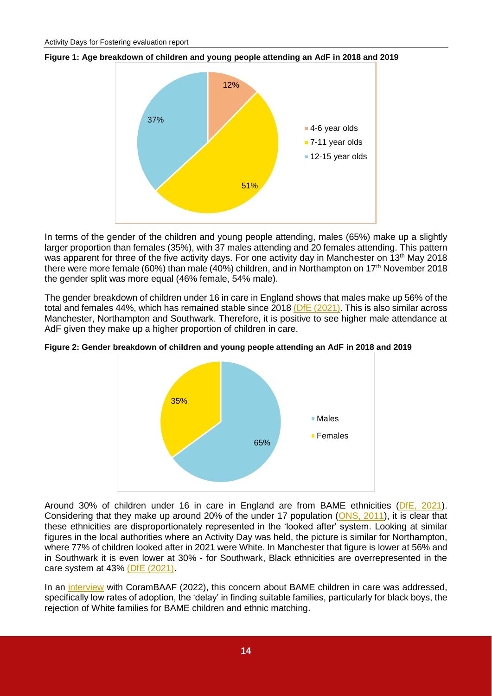<span id="page-13-0"></span>



In terms of the gender of the children and young people attending, males (65%) make up a slightly larger proportion than females (35%), with 37 males attending and 20 females attending. This pattern was apparent for three of the five activity days. For one activity day in Manchester on 13<sup>th</sup> May 2018 there were more female (60%) than male (40%) children, and in Northampton on 17<sup>th</sup> November 2018 the gender split was more equal (46% female, 54% male).

The gender breakdown of children under 16 in care in England shows that males make up 56% of the total and females 44%, which has remained stable since 2018 [\(DfE \(2021\).](https://explore-education-statistics.service.gov.uk/data-tables/fast-track/fa625806-843c-4b52-5afe-08d98e357d76) This is also similar across Manchester, Northampton and Southwark. Therefore, it is positive to see higher male attendance at AdF given they make up a higher proportion of children in care.



<span id="page-13-1"></span>**Figure 2: Gender breakdown of children and young people attending an AdF in 2018 and 2019**

Around 30% of children under 16 in care in England are from BAME ethnicities [\(DfE, 2021\)](https://explore-education-statistics.service.gov.uk/find-statistics/children-looked-after-in-england-including-adoptions/2021). Considering that they make up around 20% of the under 17 population [\(ONS, 2011\)](https://www.ons.gov.uk/census/2011census), it is clear that these ethnicities are disproportionately represented in the 'looked after' system. Looking at similar figures in the local authorities where an Activity Day was held, the picture is similar for Northampton, where 77% of children looked after in 2021 were White. In Manchester that figure is lower at 56% and in Southwark it is even lower at 30% - for Southwark, Black ethnicities are overrepresented in the care system at 43% [\(DfE \(2021\).](https://www.gov.uk/government/statistics/children-looked-after-in-england-including-adoption-2020-to-2021)

In an [interview](https://corambaaf.org.uk/-interview-corambaaf-consultant-savita-de-sousa) with CoramBAAF (2022), this concern about BAME children in care was addressed, specifically low rates of adoption, the 'delay' in finding suitable families, particularly for black boys, the rejection of White families for BAME children and ethnic matching.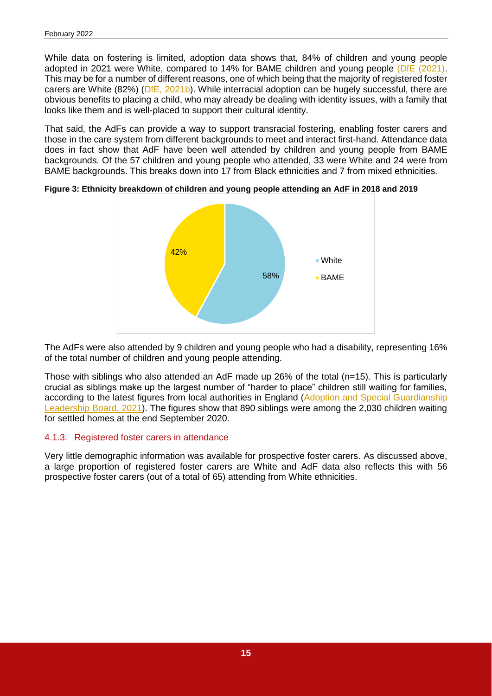While data on fostering is limited, adoption data shows that, 84% of children and young people adopted in 2021 were White, compared to 14% for BAME children and young people [\(DfE \(2021\).](https://www.gov.uk/government/statistics/children-looked-after-in-england-including-adoption-2020-to-2021) This may be for a number of different reasons, one of which being that the majority of registered foster carers are White (82%) [\(DfE, 2021b\)](https://www.gov.uk/government/statistics/fostering-in-england-1-april-2020-to-31-march-2021/fostering-in-england-2020-to-2021-main-findings). While interracial adoption can be hugely successful, there are obvious benefits to placing a child, who may already be dealing with identity issues, with a family that looks like them and is well-placed to support their cultural identity.

That said, the AdFs can provide a way to support transracial fostering, enabling foster carers and those in the care system from different backgrounds to meet and interact first-hand. Attendance data does in fact show that AdF have been well attended by children and young people from BAME backgrounds. Of the 57 children and young people who attended, 33 were White and 24 were from BAME backgrounds. This breaks down into 17 from Black ethnicities and 7 from mixed ethnicities.



<span id="page-14-1"></span>**Figure 3: Ethnicity breakdown of children and young people attending an AdF in 2018 and 2019**

The AdFs were also attended by 9 children and young people who had a disability, representing 16% of the total number of children and young people attending.

Those with siblings who also attended an AdF made up 26% of the total (n=15). This is particularly crucial as siblings make up the largest number of "harder to place" children still waiting for families, according to the latest figures from local authorities in England [\(Adoption and Special Guardianship](https://coram-i.org.uk/resource/local-level-asglb-data-q2-2020-21/)  [Leadership Board, 2021\)](https://coram-i.org.uk/resource/local-level-asglb-data-q2-2020-21/). The figures show that 890 siblings were among the 2,030 children waiting for settled homes at the end September 2020.

#### <span id="page-14-0"></span>4.1.3. Registered foster carers in attendance

Very little demographic information was available for prospective foster carers. As discussed above, a large proportion of registered foster carers are White and AdF data also reflects this with 56 prospective foster carers (out of a total of 65) attending from White ethnicities.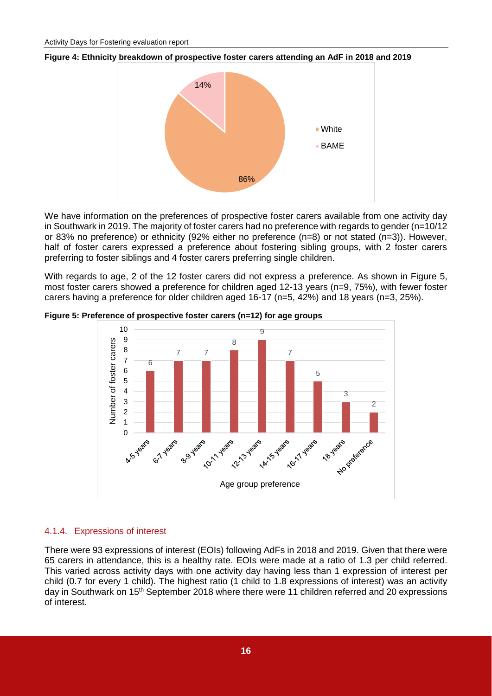<span id="page-15-1"></span>



We have information on the preferences of prospective foster carers available from one activity day in Southwark in 2019. The majority of foster carers had no preference with regards to gender (n=10/12 or 83% no preference) or ethnicity (92% either no preference (n=8) or not stated (n=3)). However, half of foster carers expressed a preference about fostering sibling groups, with 2 foster carers preferring to foster siblings and 4 foster carers preferring single children.

With regards to age, 2 of the 12 foster carers did not express a preference. As shown in Figure 5, most foster carers showed a preference for children aged 12-13 years (n=9, 75%), with fewer foster carers having a preference for older children aged 16-17 (n=5, 42%) and 18 years (n=3, 25%).



<span id="page-15-2"></span>**Figure 5: Preference of prospective foster carers (n=12) for age groups**

#### <span id="page-15-0"></span>4.1.4. Expressions of interest

There were 93 expressions of interest (EOIs) following AdFs in 2018 and 2019. Given that there were 65 carers in attendance, this is a healthy rate. EOIs were made at a ratio of 1.3 per child referred. This varied across activity days with one activity day having less than 1 expression of interest per child (0.7 for every 1 child). The highest ratio (1 child to 1.8 expressions of interest) was an activity day in Southwark on 15<sup>th</sup> September 2018 where there were 11 children referred and 20 expressions of interest.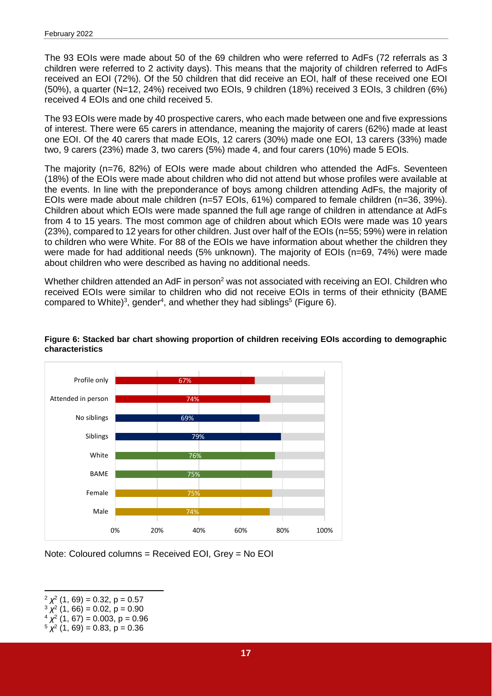The 93 EOIs were made about 50 of the 69 children who were referred to AdFs (72 referrals as 3 children were referred to 2 activity days). This means that the majority of children referred to AdFs received an EOI (72%). Of the 50 children that did receive an EOI, half of these received one EOI (50%), a quarter (N=12, 24%) received two EOIs, 9 children (18%) received 3 EOIs, 3 children (6%) received 4 EOIs and one child received 5.

The 93 EOIs were made by 40 prospective carers, who each made between one and five expressions of interest. There were 65 carers in attendance, meaning the majority of carers (62%) made at least one EOI. Of the 40 carers that made EOIs, 12 carers (30%) made one EOI, 13 carers (33%) made two, 9 carers (23%) made 3, two carers (5%) made 4, and four carers (10%) made 5 EOIs.

The majority (n=76, 82%) of EOIs were made about children who attended the AdFs. Seventeen (18%) of the EOIs were made about children who did not attend but whose profiles were available at the events. In line with the preponderance of boys among children attending AdFs, the majority of EOIs were made about male children (n=57 EOIs, 61%) compared to female children (n=36, 39%). Children about which EOIs were made spanned the full age range of children in attendance at AdFs from 4 to 15 years. The most common age of children about which EOIs were made was 10 years (23%), compared to 12 years for other children. Just over half of the EOIs (n=55; 59%) were in relation to children who were White. For 88 of the EOIs we have information about whether the children they were made for had additional needs (5% unknown). The majority of EOIs (n=69, 74%) were made about children who were described as having no additional needs.

Whether children attended an AdF in person<sup>2</sup> was not associated with receiving an EOI. Children who received EOIs were similar to children who did not receive EOIs in terms of their ethnicity (BAME compared to White)<sup>3</sup>, gender<sup>4</sup>, and whether they had siblings<sup>5</sup> (Figure 6).



#### <span id="page-16-0"></span>**Figure 6: Stacked bar chart showing proportion of children receiving EOIs according to demographic characteristics**

Note: Coloured columns = Received EOI, Grey = No EOI

 $4 \chi^2$  (1, 67) = 0.003, p = 0.96

<sup>-</sup> $2 \chi^2$  (1, 69) = 0.32, p = 0.57

 $3 \chi^2$  (1, 66) = 0.02, p = 0.90

 $5 \chi^2$  (1, 69) = 0.83, p = 0.36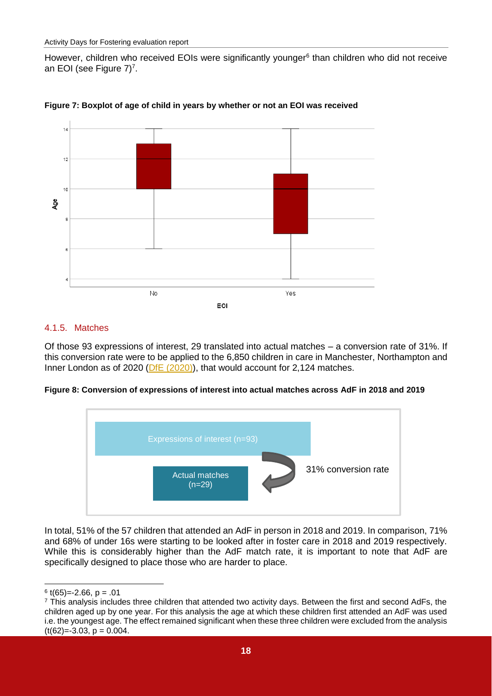However, children who received EOIs were significantly younger<sup>6</sup> than children who did not receive an EOI (see Figure 7)<sup>7</sup>.



<span id="page-17-1"></span>**Figure 7: Boxplot of age of child in years by whether or not an EOI was received**

#### <span id="page-17-0"></span>4.1.5. Matches

Of those 93 expressions of interest, 29 translated into actual matches – a conversion rate of 31%. If this conversion rate were to be applied to the 6,850 children in care in Manchester, Northampton and Inner London as of 2020 (DfE [\(2020\)\)](https://www.gov.uk/government/statistics/children-looked-after-in-england-including-adoption-2019-to-2020), that would account for 2,124 matches.

#### **Figure 8: Conversion of expressions of interest into actual matches across AdF in 2018 and 2019**



In total, 51% of the 57 children that attended an AdF in person in 2018 and 2019. In comparison, 71% and 68% of under 16s were starting to be looked after in foster care in 2018 and 2019 respectively. While this is considerably higher than the AdF match rate, it is important to note that AdF are specifically designed to place those who are harder to place.

<sup>-</sup> $6$  t(65)=-2.66, p = .01

 $\frac{7}{1}$  This analysis includes three children that attended two activity days. Between the first and second AdFs, the children aged up by one year. For this analysis the age at which these children first attended an AdF was used i.e. the youngest age. The effect remained significant when these three children were excluded from the analysis  $(t(62)=3.03, p=0.004$ .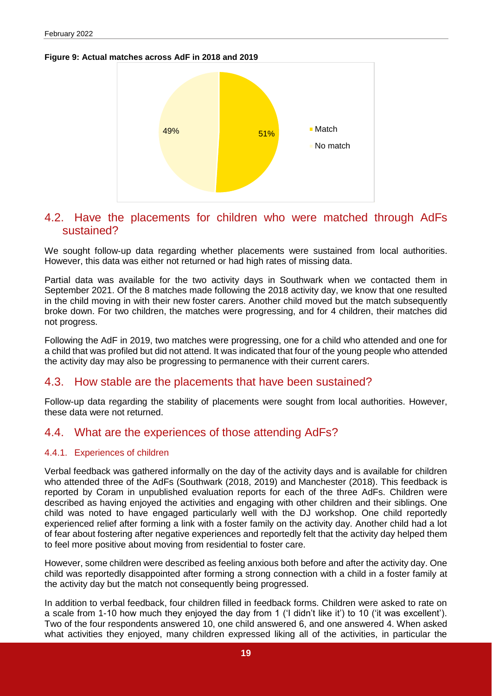<span id="page-18-4"></span>**Figure 9: Actual matches across AdF in 2018 and 2019**



#### <span id="page-18-0"></span>4.2. Have the placements for children who were matched through AdFs sustained?

We sought follow-up data regarding whether placements were sustained from local authorities. However, this data was either not returned or had high rates of missing data.

Partial data was available for the two activity days in Southwark when we contacted them in September 2021. Of the 8 matches made following the 2018 activity day, we know that one resulted in the child moving in with their new foster carers. Another child moved but the match subsequently broke down. For two children, the matches were progressing, and for 4 children, their matches did not progress.

Following the AdF in 2019, two matches were progressing, one for a child who attended and one for a child that was profiled but did not attend. It was indicated that four of the young people who attended the activity day may also be progressing to permanence with their current carers.

#### <span id="page-18-1"></span>4.3. How stable are the placements that have been sustained?

Follow-up data regarding the stability of placements were sought from local authorities. However, these data were not returned.

#### <span id="page-18-2"></span>4.4. What are the experiences of those attending AdFs?

#### <span id="page-18-3"></span>4.4.1. Experiences of children

Verbal feedback was gathered informally on the day of the activity days and is available for children who attended three of the AdFs (Southwark (2018, 2019) and Manchester (2018). This feedback is reported by Coram in unpublished evaluation reports for each of the three AdFs. Children were described as having enjoyed the activities and engaging with other children and their siblings. One child was noted to have engaged particularly well with the DJ workshop. One child reportedly experienced relief after forming a link with a foster family on the activity day. Another child had a lot of fear about fostering after negative experiences and reportedly felt that the activity day helped them to feel more positive about moving from residential to foster care.

However, some children were described as feeling anxious both before and after the activity day. One child was reportedly disappointed after forming a strong connection with a child in a foster family at the activity day but the match not consequently being progressed.

In addition to verbal feedback, four children filled in feedback forms. Children were asked to rate on a scale from 1-10 how much they enjoyed the day from 1 ('I didn't like it') to 10 ('it was excellent'). Two of the four respondents answered 10, one child answered 6, and one answered 4. When asked what activities they enjoyed, many children expressed liking all of the activities, in particular the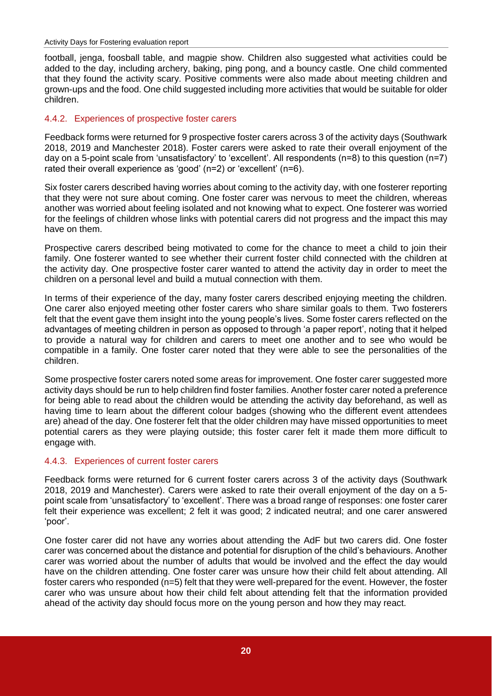football, jenga, foosball table, and magpie show. Children also suggested what activities could be added to the day, including archery, baking, ping pong, and a bouncy castle. One child commented that they found the activity scary. Positive comments were also made about meeting children and grown-ups and the food. One child suggested including more activities that would be suitable for older children.

#### <span id="page-19-0"></span>4.4.2. Experiences of prospective foster carers

Feedback forms were returned for 9 prospective foster carers across 3 of the activity days (Southwark 2018, 2019 and Manchester 2018). Foster carers were asked to rate their overall enjoyment of the day on a 5-point scale from 'unsatisfactory' to 'excellent'. All respondents (n=8) to this question (n=7) rated their overall experience as 'good' (n=2) or 'excellent' (n=6).

Six foster carers described having worries about coming to the activity day, with one fosterer reporting that they were not sure about coming. One foster carer was nervous to meet the children, whereas another was worried about feeling isolated and not knowing what to expect. One fosterer was worried for the feelings of children whose links with potential carers did not progress and the impact this may have on them.

Prospective carers described being motivated to come for the chance to meet a child to join their family. One fosterer wanted to see whether their current foster child connected with the children at the activity day. One prospective foster carer wanted to attend the activity day in order to meet the children on a personal level and build a mutual connection with them.

In terms of their experience of the day, many foster carers described enjoying meeting the children. One carer also enjoyed meeting other foster carers who share similar goals to them. Two fosterers felt that the event gave them insight into the young people's lives. Some foster carers reflected on the advantages of meeting children in person as opposed to through 'a paper report', noting that it helped to provide a natural way for children and carers to meet one another and to see who would be compatible in a family. One foster carer noted that they were able to see the personalities of the children.

Some prospective foster carers noted some areas for improvement. One foster carer suggested more activity days should be run to help children find foster families. Another foster carer noted a preference for being able to read about the children would be attending the activity day beforehand, as well as having time to learn about the different colour badges (showing who the different event attendees are) ahead of the day. One fosterer felt that the older children may have missed opportunities to meet potential carers as they were playing outside; this foster carer felt it made them more difficult to engage with.

#### <span id="page-19-1"></span>4.4.3. Experiences of current foster carers

Feedback forms were returned for 6 current foster carers across 3 of the activity days (Southwark 2018, 2019 and Manchester). Carers were asked to rate their overall enjoyment of the day on a 5 point scale from 'unsatisfactory' to 'excellent'. There was a broad range of responses: one foster carer felt their experience was excellent; 2 felt it was good; 2 indicated neutral; and one carer answered 'poor'.

One foster carer did not have any worries about attending the AdF but two carers did. One foster carer was concerned about the distance and potential for disruption of the child's behaviours. Another carer was worried about the number of adults that would be involved and the effect the day would have on the children attending. One foster carer was unsure how their child felt about attending. All foster carers who responded (n=5) felt that they were well-prepared for the event. However, the foster carer who was unsure about how their child felt about attending felt that the information provided ahead of the activity day should focus more on the young person and how they may react.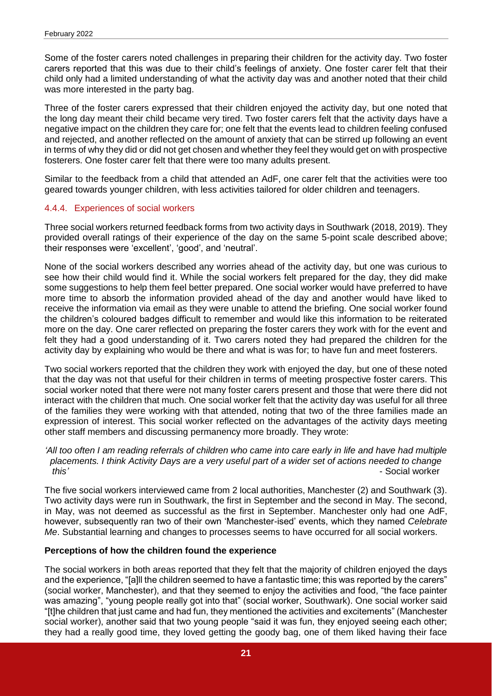Some of the foster carers noted challenges in preparing their children for the activity day. Two foster carers reported that this was due to their child's feelings of anxiety. One foster carer felt that their child only had a limited understanding of what the activity day was and another noted that their child was more interested in the party bag.

Three of the foster carers expressed that their children enjoyed the activity day, but one noted that the long day meant their child became very tired. Two foster carers felt that the activity days have a negative impact on the children they care for; one felt that the events lead to children feeling confused and rejected, and another reflected on the amount of anxiety that can be stirred up following an event in terms of why they did or did not get chosen and whether they feel they would get on with prospective fosterers. One foster carer felt that there were too many adults present.

Similar to the feedback from a child that attended an AdF, one carer felt that the activities were too geared towards younger children, with less activities tailored for older children and teenagers.

#### <span id="page-20-0"></span>4.4.4. Experiences of social workers

Three social workers returned feedback forms from two activity days in Southwark (2018, 2019). They provided overall ratings of their experience of the day on the same 5-point scale described above; their responses were 'excellent', 'good', and 'neutral'.

None of the social workers described any worries ahead of the activity day, but one was curious to see how their child would find it. While the social workers felt prepared for the day, they did make some suggestions to help them feel better prepared. One social worker would have preferred to have more time to absorb the information provided ahead of the day and another would have liked to receive the information via email as they were unable to attend the briefing. One social worker found the children's coloured badges difficult to remember and would like this information to be reiterated more on the day. One carer reflected on preparing the foster carers they work with for the event and felt they had a good understanding of it. Two carers noted they had prepared the children for the activity day by explaining who would be there and what is was for; to have fun and meet fosterers.

Two social workers reported that the children they work with enjoyed the day, but one of these noted that the day was not that useful for their children in terms of meeting prospective foster carers. This social worker noted that there were not many foster carers present and those that were there did not interact with the children that much. One social worker felt that the activity day was useful for all three of the families they were working with that attended, noting that two of the three families made an expression of interest. This social worker reflected on the advantages of the activity days meeting other staff members and discussing permanency more broadly. They wrote:

#### *'All too often I am reading referrals of children who came into care early in life and have had multiple placements. I think Activity Days are a very useful part of a wider set of actions needed to change this'* - Social worker

The five social workers interviewed came from 2 local authorities, Manchester (2) and Southwark (3). Two activity days were run in Southwark, the first in September and the second in May. The second, in May, was not deemed as successful as the first in September. Manchester only had one AdF, however, subsequently ran two of their own 'Manchester-ised' events, which they named *Celebrate Me*. Substantial learning and changes to processes seems to have occurred for all social workers.

#### **Perceptions of how the children found the experience**

The social workers in both areas reported that they felt that the majority of children enjoyed the days and the experience, "[a]ll the children seemed to have a fantastic time; this was reported by the carers" (social worker, Manchester), and that they seemed to enjoy the activities and food, "the face painter was amazing", "young people really got into that" (social worker, Southwark). One social worker said "[t]he children that just came and had fun, they mentioned the activities and excitements" (Manchester social worker), another said that two young people "said it was fun, they enjoyed seeing each other; they had a really good time, they loved getting the goody bag, one of them liked having their face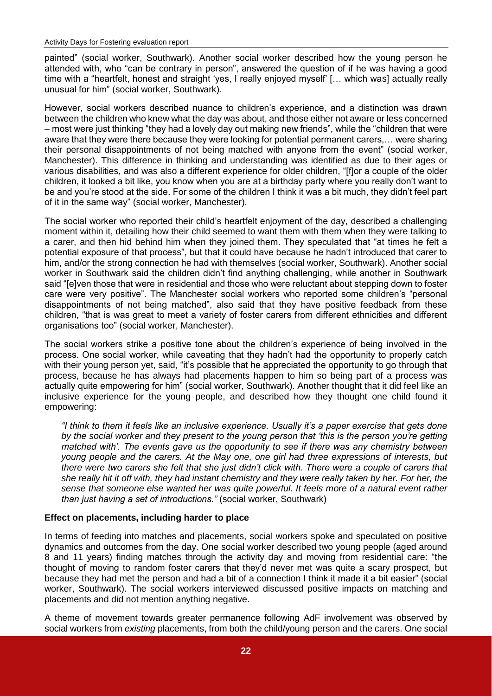painted" (social worker, Southwark). Another social worker described how the young person he attended with, who "can be contrary in person", answered the question of if he was having a good time with a "heartfelt, honest and straight 'yes, I really enjoyed myself' [… which was] actually really unusual for him" (social worker, Southwark).

However, social workers described nuance to children's experience, and a distinction was drawn between the children who knew what the day was about, and those either not aware or less concerned – most were just thinking "they had a lovely day out making new friends", while the "children that were aware that they were there because they were looking for potential permanent carers,… were sharing their personal disappointments of not being matched with anyone from the event" (social worker, Manchester). This difference in thinking and understanding was identified as due to their ages or various disabilities, and was also a different experience for older children, "[f]or a couple of the older children, it looked a bit like, you know when you are at a birthday party where you really don't want to be and you're stood at the side. For some of the children I think it was a bit much, they didn't feel part of it in the same way" (social worker, Manchester).

The social worker who reported their child's heartfelt enjoyment of the day, described a challenging moment within it, detailing how their child seemed to want them with them when they were talking to a carer, and then hid behind him when they joined them. They speculated that "at times he felt a potential exposure of that process", but that it could have because he hadn't introduced that carer to him, and/or the strong connection he had with themselves (social worker, Southwark). Another social worker in Southwark said the children didn't find anything challenging, while another in Southwark said "[e]ven those that were in residential and those who were reluctant about stepping down to foster care were very positive". The Manchester social workers who reported some children's "personal disappointments of not being matched", also said that they have positive feedback from these children, "that is was great to meet a variety of foster carers from different ethnicities and different organisations too" (social worker, Manchester).

The social workers strike a positive tone about the children's experience of being involved in the process. One social worker, while caveating that they hadn't had the opportunity to properly catch with their young person yet, said, "it's possible that he appreciated the opportunity to go through that process, because he has always had placements happen to him so being part of a process was actually quite empowering for him" (social worker, Southwark). Another thought that it did feel like an inclusive experience for the young people, and described how they thought one child found it empowering:

*"I think to them it feels like an inclusive experience. Usually it's a paper exercise that gets done by the social worker and they present to the young person that 'this is the person you're getting matched with'. The events gave us the opportunity to see if there was any chemistry between young people and the carers. At the May one, one girl had three expressions of interests, but there were two carers she felt that she just didn't click with. There were a couple of carers that she really hit it off with, they had instant chemistry and they were really taken by her. For her, the sense that someone else wanted her was quite powerful. It feels more of a natural event rather than just having a set of introductions."* (social worker, Southwark)

#### **Effect on placements, including harder to place**

In terms of feeding into matches and placements, social workers spoke and speculated on positive dynamics and outcomes from the day. One social worker described two young people (aged around 8 and 11 years) finding matches through the activity day and moving from residential care: "the thought of moving to random foster carers that they'd never met was quite a scary prospect, but because they had met the person and had a bit of a connection I think it made it a bit easier" (social worker, Southwark). The social workers interviewed discussed positive impacts on matching and placements and did not mention anything negative.

A theme of movement towards greater permanence following AdF involvement was observed by social workers from *existing* placements, from both the child/young person and the carers. One social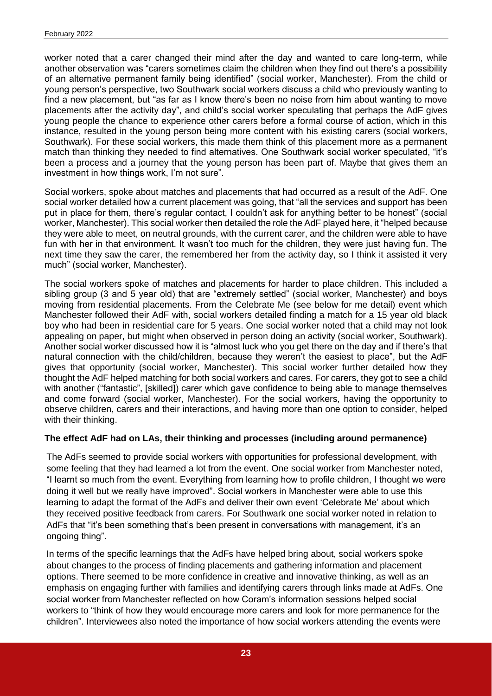worker noted that a carer changed their mind after the day and wanted to care long-term, while another observation was "carers sometimes claim the children when they find out there's a possibility of an alternative permanent family being identified" (social worker, Manchester). From the child or young person's perspective, two Southwark social workers discuss a child who previously wanting to find a new placement, but "as far as I know there's been no noise from him about wanting to move placements after the activity day", and child's social worker speculating that perhaps the AdF gives young people the chance to experience other carers before a formal course of action, which in this instance, resulted in the young person being more content with his existing carers (social workers, Southwark). For these social workers, this made them think of this placement more as a permanent match than thinking they needed to find alternatives. One Southwark social worker speculated, "it's been a process and a journey that the young person has been part of. Maybe that gives them an investment in how things work, I'm not sure".

Social workers, spoke about matches and placements that had occurred as a result of the AdF. One social worker detailed how a current placement was going, that "all the services and support has been put in place for them, there's regular contact, I couldn't ask for anything better to be honest" (social worker, Manchester). This social worker then detailed the role the AdF played here, it "helped because they were able to meet, on neutral grounds, with the current carer, and the children were able to have fun with her in that environment. It wasn't too much for the children, they were just having fun. The next time they saw the carer, the remembered her from the activity day, so I think it assisted it very much" (social worker, Manchester).

The social workers spoke of matches and placements for harder to place children. This included a sibling group (3 and 5 year old) that are "extremely settled" (social worker, Manchester) and boys moving from residential placements. From the Celebrate Me (see below for me detail) event which Manchester followed their AdF with, social workers detailed finding a match for a 15 year old black boy who had been in residential care for 5 years. One social worker noted that a child may not look appealing on paper, but might when observed in person doing an activity (social worker, Southwark). Another social worker discussed how it is "almost luck who you get there on the day and if there's that natural connection with the child/children, because they weren't the easiest to place", but the AdF gives that opportunity (social worker, Manchester). This social worker further detailed how they thought the AdF helped matching for both social workers and cares. For carers, they got to see a child with another ("fantastic", [skilled]) carer which gave confidence to being able to manage themselves and come forward (social worker, Manchester). For the social workers, having the opportunity to observe children, carers and their interactions, and having more than one option to consider, helped with their thinking.

#### **The effect AdF had on LAs, their thinking and processes (including around permanence)**

The AdFs seemed to provide social workers with opportunities for professional development, with some feeling that they had learned a lot from the event. One social worker from Manchester noted, "I learnt so much from the event. Everything from learning how to profile children, I thought we were doing it well but we really have improved". Social workers in Manchester were able to use this learning to adapt the format of the AdFs and deliver their own event 'Celebrate Me' about which they received positive feedback from carers. For Southwark one social worker noted in relation to AdFs that "it's been something that's been present in conversations with management, it's an ongoing thing".

In terms of the specific learnings that the AdFs have helped bring about, social workers spoke about changes to the process of finding placements and gathering information and placement options. There seemed to be more confidence in creative and innovative thinking, as well as an emphasis on engaging further with families and identifying carers through links made at AdFs. One social worker from Manchester reflected on how Coram's information sessions helped social workers to "think of how they would encourage more carers and look for more permanence for the children". Interviewees also noted the importance of how social workers attending the events were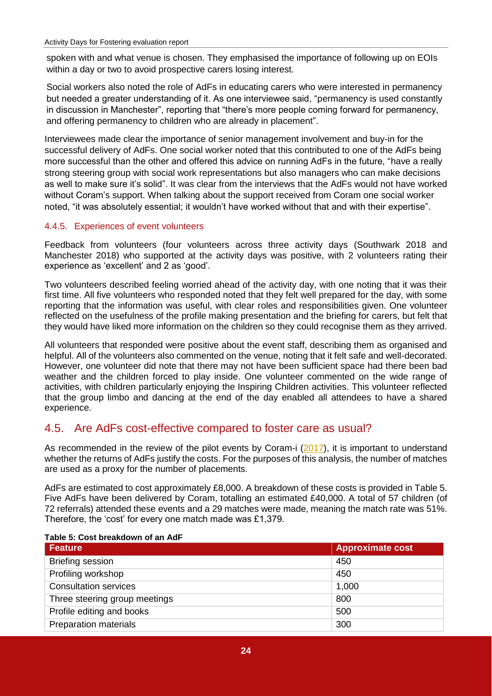spoken with and what venue is chosen. They emphasised the importance of following up on EOIs within a day or two to avoid prospective carers losing interest.

Social workers also noted the role of AdFs in educating carers who were interested in permanency but needed a greater understanding of it. As one interviewee said, "permanency is used constantly in discussion in Manchester", reporting that "there's more people coming forward for permanency, and offering permanency to children who are already in placement".

Interviewees made clear the importance of senior management involvement and buy-in for the successful delivery of AdFs. One social worker noted that this contributed to one of the AdFs being more successful than the other and offered this advice on running AdFs in the future, "have a really strong steering group with social work representations but also managers who can make decisions as well to make sure it's solid". It was clear from the interviews that the AdFs would not have worked without Coram's support. When talking about the support received from Coram one social worker noted, "it was absolutely essential; it wouldn't have worked without that and with their expertise".

#### <span id="page-23-0"></span>4.4.5. Experiences of event volunteers

Feedback from volunteers (four volunteers across three activity days (Southwark 2018 and Manchester 2018) who supported at the activity days was positive, with 2 volunteers rating their experience as 'excellent' and 2 as 'good'.

Two volunteers described feeling worried ahead of the activity day, with one noting that it was their first time. All five volunteers who responded noted that they felt well prepared for the day, with some reporting that the information was useful, with clear roles and responsibilities given. One volunteer reflected on the usefulness of the profile making presentation and the briefing for carers, but felt that they would have liked more information on the children so they could recognise them as they arrived.

All volunteers that responded were positive about the event staff, describing them as organised and helpful. All of the volunteers also commented on the venue, noting that it felt safe and well-decorated. However, one volunteer did note that there may not have been sufficient space had there been bad weather and the children forced to play inside. One volunteer commented on the wide range of activities, with children particularly enjoying the Inspiring Children activities. This volunteer reflected that the group limbo and dancing at the end of the day enabled all attendees to have a shared experience.

#### <span id="page-23-1"></span>4.5. Are AdFs cost-effective compared to foster care as usual?

As recommended in the review of the pilot events by Coram-i [\(2017\)](https://coram-i.org.uk/resource/evaluation-of-activity-days-for-fostering/download_attachment/2922), it is important to understand whether the returns of AdFs justify the costs. For the purposes of this analysis, the number of matches are used as a proxy for the number of placements.

AdFs are estimated to cost approximately £8,000. A breakdown of these costs is provided in Table 5. Five AdFs have been delivered by Coram, totalling an estimated £40,000. A total of 57 children (of 72 referrals) attended these events and a 29 matches were made, meaning the match rate was 51%. Therefore, the 'cost' for every one match made was £1,379.

| <b>Feature</b>                | <b>Approximate cost</b> |
|-------------------------------|-------------------------|
| Briefing session              | 450                     |
| Profiling workshop            | 450                     |
| <b>Consultation services</b>  | 1,000                   |
| Three steering group meetings | 800                     |
| Profile editing and books     | 500                     |
| <b>Preparation materials</b>  | 300                     |

#### <span id="page-23-2"></span>**Table 5: Cost breakdown of an AdF**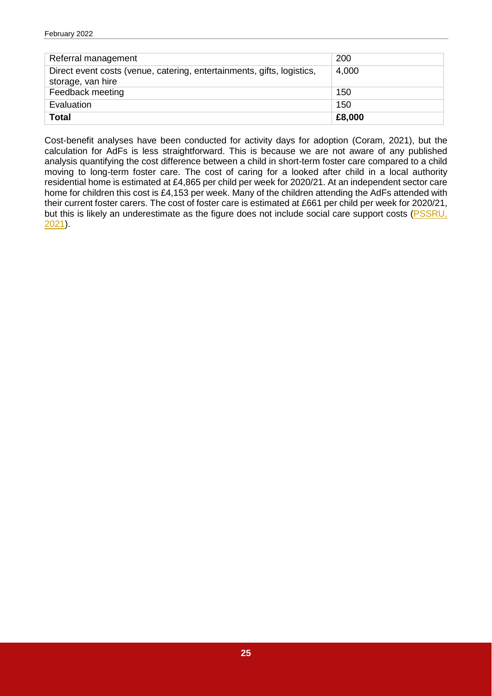| Referral management                                                                         | 200    |
|---------------------------------------------------------------------------------------------|--------|
| Direct event costs (venue, catering, entertainments, gifts, logistics,<br>storage, van hire | 4,000  |
| Feedback meeting                                                                            | 150    |
| Evaluation                                                                                  | 150    |
| <b>Total</b>                                                                                | £8,000 |

Cost-benefit analyses have been conducted for activity days for adoption (Coram, 2021), but the calculation for AdFs is less straightforward. This is because we are not aware of any published analysis quantifying the cost difference between a child in short-term foster care compared to a child moving to long-term foster care. The cost of caring for a looked after child in a local authority residential home is estimated at £4,865 per child per week for 2020/21. At an independent sector care home for children this cost is £4,153 per week. Many of the children attending the AdFs attended with their current foster carers. The cost of foster care is estimated at £661 per child per week for 2020/21, but this is likely an underestimate as the figure does not include social care support costs (PSSRU, [2021\)](https://kar.kent.ac.uk/92342/1/Unit%20Costs%20Report%202021%20-%20Final%20version%20for%20publication.pdf).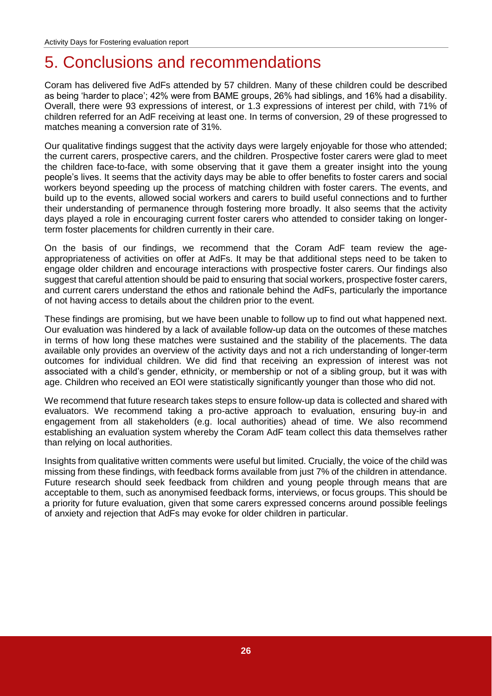## <span id="page-25-0"></span>5. Conclusions and recommendations

Coram has delivered five AdFs attended by 57 children. Many of these children could be described as being 'harder to place'; 42% were from BAME groups, 26% had siblings, and 16% had a disability. Overall, there were 93 expressions of interest, or 1.3 expressions of interest per child, with 71% of children referred for an AdF receiving at least one. In terms of conversion, 29 of these progressed to matches meaning a conversion rate of 31%.

Our qualitative findings suggest that the activity days were largely enjoyable for those who attended; the current carers, prospective carers, and the children. Prospective foster carers were glad to meet the children face-to-face, with some observing that it gave them a greater insight into the young people's lives. It seems that the activity days may be able to offer benefits to foster carers and social workers beyond speeding up the process of matching children with foster carers. The events, and build up to the events, allowed social workers and carers to build useful connections and to further their understanding of permanence through fostering more broadly. It also seems that the activity days played a role in encouraging current foster carers who attended to consider taking on longerterm foster placements for children currently in their care.

On the basis of our findings, we recommend that the Coram AdF team review the ageappropriateness of activities on offer at AdFs. It may be that additional steps need to be taken to engage older children and encourage interactions with prospective foster carers. Our findings also suggest that careful attention should be paid to ensuring that social workers, prospective foster carers, and current carers understand the ethos and rationale behind the AdFs, particularly the importance of not having access to details about the children prior to the event.

These findings are promising, but we have been unable to follow up to find out what happened next. Our evaluation was hindered by a lack of available follow-up data on the outcomes of these matches in terms of how long these matches were sustained and the stability of the placements. The data available only provides an overview of the activity days and not a rich understanding of longer-term outcomes for individual children. We did find that receiving an expression of interest was not associated with a child's gender, ethnicity, or membership or not of a sibling group, but it was with age. Children who received an EOI were statistically significantly younger than those who did not.

We recommend that future research takes steps to ensure follow-up data is collected and shared with evaluators. We recommend taking a pro-active approach to evaluation, ensuring buy-in and engagement from all stakeholders (e.g. local authorities) ahead of time. We also recommend establishing an evaluation system whereby the Coram AdF team collect this data themselves rather than relying on local authorities.

Insights from qualitative written comments were useful but limited. Crucially, the voice of the child was missing from these findings, with feedback forms available from just 7% of the children in attendance. Future research should seek feedback from children and young people through means that are acceptable to them, such as anonymised feedback forms, interviews, or focus groups. This should be a priority for future evaluation, given that some carers expressed concerns around possible feelings of anxiety and rejection that AdFs may evoke for older children in particular.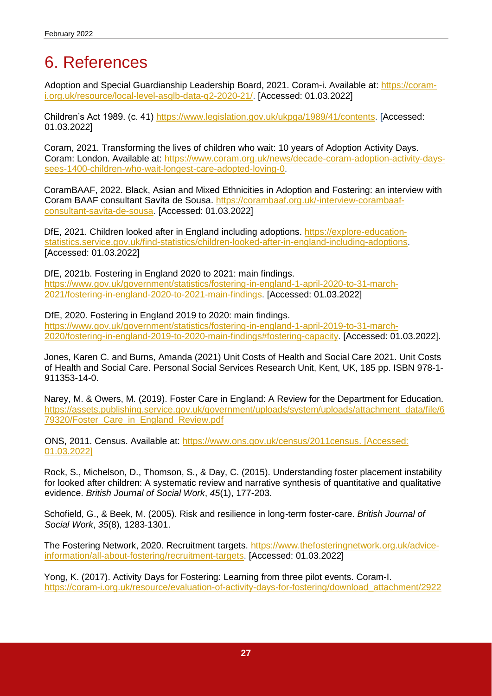## <span id="page-26-0"></span>6. References

Adoption and Special Guardianship Leadership Board, 2021. Coram-i. Available at: [https://coram](https://coram-i.org.uk/resource/local-level-asglb-data-q2-2020-21/)[i.org.uk/resource/local-level-asglb-data-q2-2020-21/.](https://coram-i.org.uk/resource/local-level-asglb-data-q2-2020-21/) [Accessed: 01.03.2022]

Children's Act 1989. (c. 41) [https://www.legislation.gov.uk/ukpga/1989/41/contents.](https://www.legislation.gov.uk/ukpga/1989/41/contents) [Accessed: 01.03.2022]

Coram, 2021. Transforming the lives of children who wait: 10 years of Adoption Activity Days. Coram: London. Available at: [https://www.coram.org.uk/news/decade-coram-adoption-activity-days](https://www.coram.org.uk/news/decade-coram-adoption-activity-days-sees-1400-children-who-wait-longest-care-adopted-loving-0)[sees-1400-children-who-wait-longest-care-adopted-loving-0.](https://www.coram.org.uk/news/decade-coram-adoption-activity-days-sees-1400-children-who-wait-longest-care-adopted-loving-0)

CoramBAAF, 2022. Black, Asian and Mixed Ethnicities in Adoption and Fostering: an interview with Coram BAAF consultant Savita de Sousa. [https://corambaaf.org.uk/-interview-corambaaf](https://corambaaf.org.uk/-interview-corambaaf-consultant-savita-de-sousa)[consultant-savita-de-sousa.](https://corambaaf.org.uk/-interview-corambaaf-consultant-savita-de-sousa) [Accessed: 01.03.2022]

DfE, 2021. Children looked after in England including adoptions. [https://explore-education](https://explore-education-statistics.service.gov.uk/find-statistics/children-looked-after-in-england-including-adoptions)[statistics.service.gov.uk/find-statistics/children-looked-after-in-england-including-adoptions.](https://explore-education-statistics.service.gov.uk/find-statistics/children-looked-after-in-england-including-adoptions) [Accessed: 01.03.2022]

DfE, 2021b. Fostering in England 2020 to 2021: main findings. [https://www.gov.uk/government/statistics/fostering-in-england-1-april-2020-to-31-march-](https://www.gov.uk/government/statistics/fostering-in-england-1-april-2020-to-31-march-2021/fostering-in-england-2020-to-2021-main-findings)[2021/fostering-in-england-2020-to-2021-main-findings.](https://www.gov.uk/government/statistics/fostering-in-england-1-april-2020-to-31-march-2021/fostering-in-england-2020-to-2021-main-findings) [Accessed: 01.03.2022]

DfE, 2020. Fostering in England 2019 to 2020: main findings. [https://www.gov.uk/government/statistics/fostering-in-england-1-april-2019-to-31-march-](https://www.gov.uk/government/statistics/fostering-in-england-1-april-2019-to-31-march-2020/fostering-in-england-2019-to-2020-main-findings#fostering-capacity)[2020/fostering-in-england-2019-to-2020-main-findings#fostering-capacity.](https://www.gov.uk/government/statistics/fostering-in-england-1-april-2019-to-31-march-2020/fostering-in-england-2019-to-2020-main-findings#fostering-capacity) [Accessed: 01.03.2022].

Jones, Karen C. and Burns, Amanda (2021) Unit Costs of Health and Social Care 2021. Unit Costs of Health and Social Care. Personal Social Services Research Unit, Kent, UK, 185 pp. ISBN 978-1- 911353-14-0.

Narey, M. & Owers, M. (2019). Foster Care in England: A Review for the Department for Education. [https://assets.publishing.service.gov.uk/government/uploads/system/uploads/attachment\\_data/file/6](https://assets.publishing.service.gov.uk/government/uploads/system/uploads/attachment_data/file/679320/Foster_Care_in_England_Review.pdf) [79320/Foster\\_Care\\_in\\_England\\_Review.pdf](https://assets.publishing.service.gov.uk/government/uploads/system/uploads/attachment_data/file/679320/Foster_Care_in_England_Review.pdf)

ONS, 2011. Census. Available at: [https://www.ons.gov.uk/census/2011census.](https://www.ons.gov.uk/census/2011census) [Accessed: 01.03.2022]

Rock, S., Michelson, D., Thomson, S., & Day, C. (2015). Understanding foster placement instability for looked after children: A systematic review and narrative synthesis of quantitative and qualitative evidence. *British Journal of Social Work*, *45*(1), 177-203.

Schofield, G., & Beek, M. (2005). Risk and resilience in long-term foster-care. *British Journal of Social Work*, *35*(8), 1283-1301.

The Fostering Network, 2020. Recruitment targets. [https://www.thefosteringnetwork.org.uk/advice](https://www.thefosteringnetwork.org.uk/advice-information/all-about-fostering/recruitment-targets)[information/all-about-fostering/recruitment-targets.](https://www.thefosteringnetwork.org.uk/advice-information/all-about-fostering/recruitment-targets) [Accessed: 01.03.2022]

Yong, K. (2017). Activity Days for Fostering: Learning from three pilot events. Coram-I. [https://coram-i.org.uk/resource/evaluation-of-activity-days-for-fostering/download\\_attachment/2922](https://coram-i.org.uk/resource/evaluation-of-activity-days-for-fostering/download_attachment/2922)